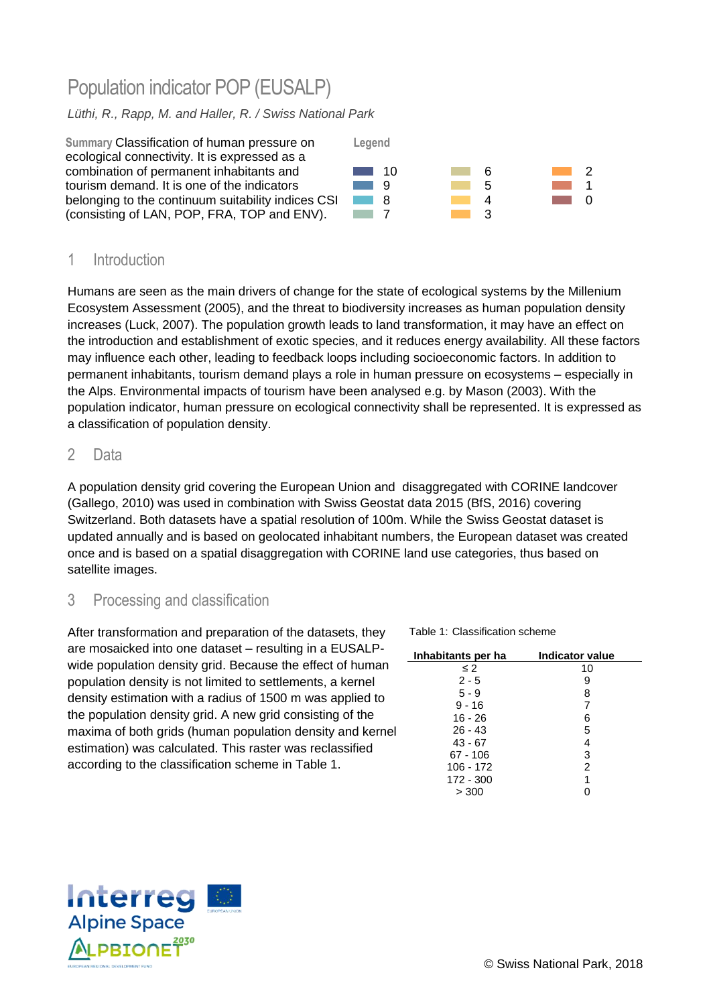# Population indicator POP (EUSALP)

### *Lüthi, R., Rapp, M. and Haller, R. / Swiss National Park*



## 1 Introduction

Humans are seen as the main drivers of change for the state of ecological systems by the Millenium Ecosystem Assessment (2005), and the threat to biodiversity increases as human population density increases (Luck, 2007). The population growth leads to land transformation, it may have an effect on the introduction and establishment of exotic species, and it reduces energy availability. All these factors may influence each other, leading to feedback loops including socioeconomic factors. In addition to permanent inhabitants, tourism demand plays a role in human pressure on ecosystems – especially in the Alps. Environmental impacts of tourism have been analysed e.g. by Mason (2003). With the population indicator, human pressure on ecological connectivity shall be represented. It is expressed as a classification of population density.

### 2 Data

A population density grid covering the European Union and disaggregated with CORINE landcover (Gallego, 2010) was used in combination with Swiss Geostat data 2015 (BfS, 2016) covering Switzerland. Both datasets have a spatial resolution of 100m. While the Swiss Geostat dataset is updated annually and is based on geolocated inhabitant numbers, the European dataset was created once and is based on a spatial disaggregation with CORINE land use categories, thus based on satellite images.

## 3 Processing and classification

After transformation and preparation of the datasets, they are mosaicked into one dataset – resulting in a EUSALPwide population density grid. Because the effect of human population density is not limited to settlements, a kernel density estimation with a radius of 1500 m was applied to the population density grid. A new grid consisting of the maxima of both grids (human population density and kernel estimation) was calculated. This raster was reclassified according to the classification scheme in [Table 1.](#page-0-0)

<span id="page-0-0"></span>Table 1: Classification scheme

| Inhabitants per ha | Indicator value |
|--------------------|-----------------|
| $\leq$ 2           | 10              |
| $2 - 5$            | 9               |
| $5 - 9$            | 8               |
| $9 - 16$           | 7               |
| $16 - 26$          | 6               |
| $26 - 43$          | 5               |
| $43 - 67$          | 4               |
| $67 - 106$         | 3               |
| $106 - 172$        | $\overline{2}$  |
| 172 - 300          | 1               |
| > 300              |                 |